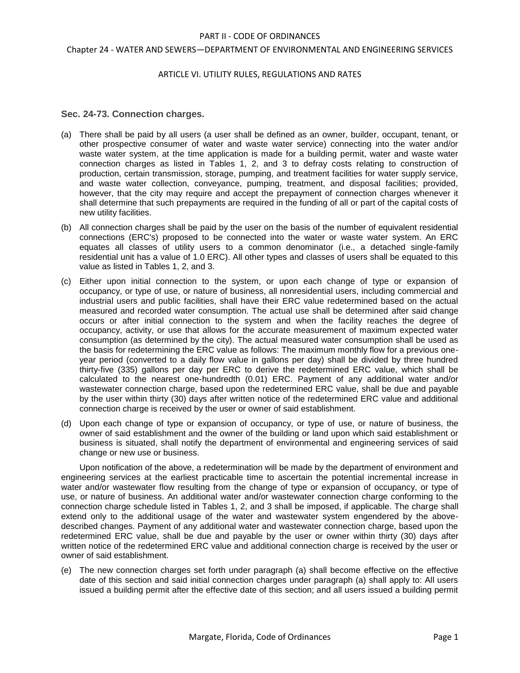## Chapter 24 - WATER AND SEWERS—DEPARTMENT OF ENVIRONMENTAL AND ENGINEERING SERVICES

## ARTICLE VI. UTILITY RULES, REGULATIONS AND RATES

# **Sec. 24-73. Connection charges.**

- (a) There shall be paid by all users (a user shall be defined as an owner, builder, occupant, tenant, or other prospective consumer of water and waste water service) connecting into the water and/or waste water system, at the time application is made for a building permit, water and waste water connection charges as listed in Tables 1, 2, and 3 to defray costs relating to construction of production, certain transmission, storage, pumping, and treatment facilities for water supply service, and waste water collection, conveyance, pumping, treatment, and disposal facilities; provided, however, that the city may require and accept the prepayment of connection charges whenever it shall determine that such prepayments are required in the funding of all or part of the capital costs of new utility facilities.
- (b) All connection charges shall be paid by the user on the basis of the number of equivalent residential connections (ERC's) proposed to be connected into the water or waste water system. An ERC equates all classes of utility users to a common denominator (i.e., a detached single-family residential unit has a value of 1.0 ERC). All other types and classes of users shall be equated to this value as listed in Tables 1, 2, and 3.
- (c) Either upon initial connection to the system, or upon each change of type or expansion of occupancy, or type of use, or nature of business, all nonresidential users, including commercial and industrial users and public facilities, shall have their ERC value redetermined based on the actual measured and recorded water consumption. The actual use shall be determined after said change occurs or after initial connection to the system and when the facility reaches the degree of occupancy, activity, or use that allows for the accurate measurement of maximum expected water consumption (as determined by the city). The actual measured water consumption shall be used as the basis for redetermining the ERC value as follows: The maximum monthly flow for a previous oneyear period (converted to a daily flow value in gallons per day) shall be divided by three hundred thirty-five (335) gallons per day per ERC to derive the redetermined ERC value, which shall be calculated to the nearest one-hundredth (0.01) ERC. Payment of any additional water and/or wastewater connection charge, based upon the redetermined ERC value, shall be due and payable by the user within thirty (30) days after written notice of the redetermined ERC value and additional connection charge is received by the user or owner of said establishment.
- (d) Upon each change of type or expansion of occupancy, or type of use, or nature of business, the owner of said establishment and the owner of the building or land upon which said establishment or business is situated, shall notify the department of environmental and engineering services of said change or new use or business.

Upon notification of the above, a redetermination will be made by the department of environment and engineering services at the earliest practicable time to ascertain the potential incremental increase in water and/or wastewater flow resulting from the change of type or expansion of occupancy, or type of use, or nature of business. An additional water and/or wastewater connection charge conforming to the connection charge schedule listed in Tables 1, 2, and 3 shall be imposed, if applicable. The charge shall extend only to the additional usage of the water and wastewater system engendered by the abovedescribed changes. Payment of any additional water and wastewater connection charge, based upon the redetermined ERC value, shall be due and payable by the user or owner within thirty (30) days after written notice of the redetermined ERC value and additional connection charge is received by the user or owner of said establishment.

(e) The new connection charges set forth under paragraph (a) shall become effective on the effective date of this section and said initial connection charges under paragraph (a) shall apply to: All users issued a building permit after the effective date of this section; and all users issued a building permit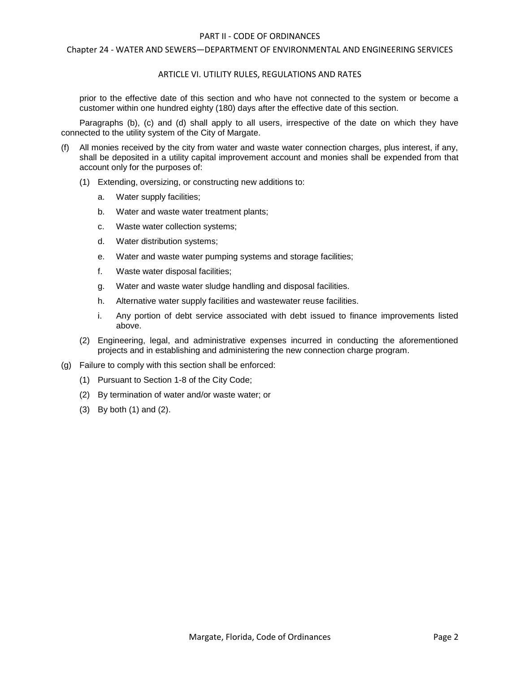### Chapter 24 - WATER AND SEWERS—DEPARTMENT OF ENVIRONMENTAL AND ENGINEERING SERVICES

## ARTICLE VI. UTILITY RULES, REGULATIONS AND RATES

prior to the effective date of this section and who have not connected to the system or become a customer within one hundred eighty (180) days after the effective date of this section.

Paragraphs (b), (c) and (d) shall apply to all users, irrespective of the date on which they have connected to the utility system of the City of Margate.

- All monies received by the city from water and waste water connection charges, plus interest, if any, shall be deposited in a utility capital improvement account and monies shall be expended from that account only for the purposes of:
	- (1) Extending, oversizing, or constructing new additions to:
		- a. Water supply facilities;
		- b. Water and waste water treatment plants;
		- c. Waste water collection systems;
		- d. Water distribution systems;
		- e. Water and waste water pumping systems and storage facilities;
		- f. Waste water disposal facilities;
		- g. Water and waste water sludge handling and disposal facilities.
		- h. Alternative water supply facilities and wastewater reuse facilities.
		- i. Any portion of debt service associated with debt issued to finance improvements listed above.
	- (2) Engineering, legal, and administrative expenses incurred in conducting the aforementioned projects and in establishing and administering the new connection charge program.
- (g) Failure to comply with this section shall be enforced:
	- (1) Pursuant to Section 1-8 of the City Code;
	- (2) By termination of water and/or waste water; or
	- (3) By both (1) and (2).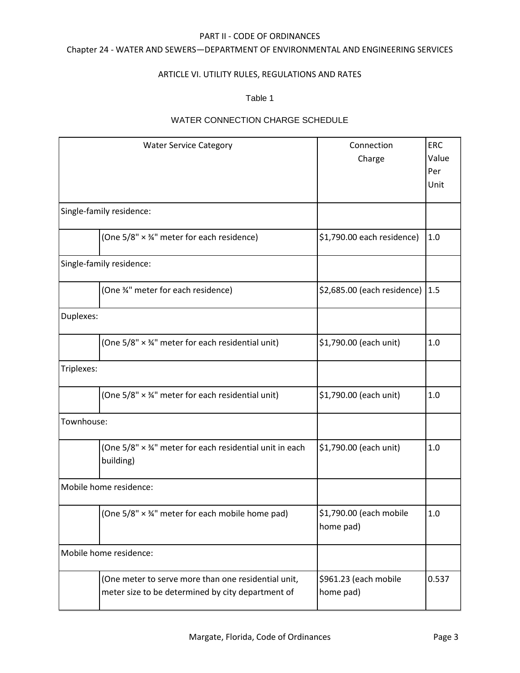# Chapter 24 - WATER AND SEWERS—DEPARTMENT OF ENVIRONMENTAL AND ENGINEERING SERVICES

# ARTICLE VI. UTILITY RULES, REGULATIONS AND RATES

# Table 1

# WATER CONNECTION CHARGE SCHEDULE

| <b>Water Service Category</b>                                                                            | Connection                           | <b>ERC</b> |
|----------------------------------------------------------------------------------------------------------|--------------------------------------|------------|
|                                                                                                          | Charge                               | Value      |
|                                                                                                          |                                      | Per        |
|                                                                                                          |                                      | Unit       |
|                                                                                                          |                                      |            |
| Single-family residence:                                                                                 |                                      |            |
| (One 5/8" × 34" meter for each residence)                                                                | \$1,790.00 each residence)           | 1.0        |
| Single-family residence:                                                                                 |                                      |            |
| (One %" meter for each residence)                                                                        | \$2,685.00 (each residence) 1.5      |            |
| Duplexes:                                                                                                |                                      |            |
| (One 5/8" × 34" meter for each residential unit)                                                         | \$1,790.00 (each unit)               | 1.0        |
| Triplexes:                                                                                               |                                      |            |
| (One 5/8" × 34" meter for each residential unit)                                                         | \$1,790.00 (each unit)               | 1.0        |
| Townhouse:                                                                                               |                                      |            |
| (One 5/8" × 34" meter for each residential unit in each<br>building)                                     | \$1,790.00 (each unit)               | 1.0        |
| Mobile home residence:                                                                                   |                                      |            |
| (One 5/8" × 34" meter for each mobile home pad)                                                          | \$1,790.00 (each mobile<br>home pad) | 1.0        |
| Mobile home residence:                                                                                   |                                      |            |
| (One meter to serve more than one residential unit,<br>meter size to be determined by city department of | \$961.23 (each mobile<br>home pad)   | 0.537      |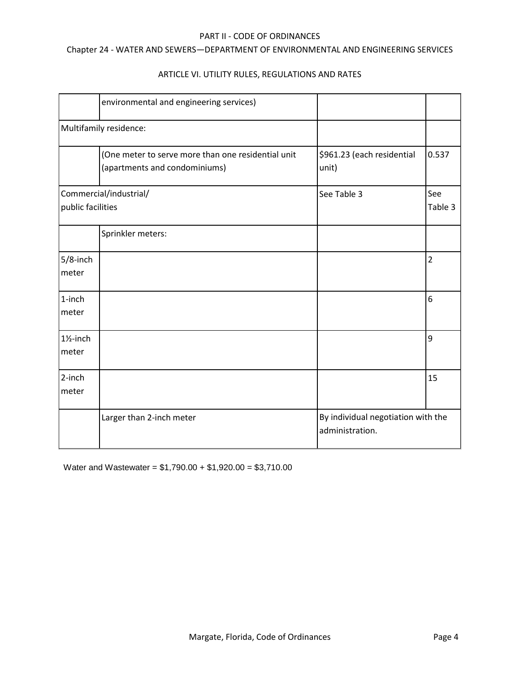# Chapter 24 - WATER AND SEWERS—DEPARTMENT OF ENVIRONMENTAL AND ENGINEERING SERVICES

|                               | environmental and engineering services)                                             |                                                       |                |
|-------------------------------|-------------------------------------------------------------------------------------|-------------------------------------------------------|----------------|
|                               | Multifamily residence:                                                              |                                                       |                |
|                               | (One meter to serve more than one residential unit<br>(apartments and condominiums) | \$961.23 (each residential<br>unit)                   | 0.537          |
| public facilities             | Commercial/industrial/                                                              | See Table 3                                           | See<br>Table 3 |
|                               | Sprinkler meters:                                                                   |                                                       |                |
| $5/8$ -inch<br>meter          |                                                                                     |                                                       | 2              |
| 1-inch<br>meter               |                                                                                     |                                                       | 6              |
| $1\frac{1}{2}$ -inch<br>meter |                                                                                     |                                                       | 9              |
| 2-inch<br>meter               |                                                                                     |                                                       | 15             |
|                               | Larger than 2-inch meter                                                            | By individual negotiation with the<br>administration. |                |

# ARTICLE VI. UTILITY RULES, REGULATIONS AND RATES

Water and Wastewater = \$1,790.00 + \$1,920.00 = \$3,710.00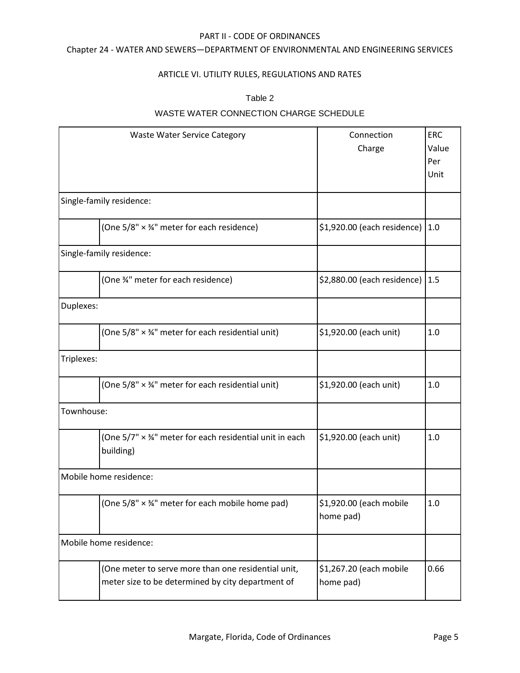# Chapter 24 - WATER AND SEWERS—DEPARTMENT OF ENVIRONMENTAL AND ENGINEERING SERVICES

# ARTICLE VI. UTILITY RULES, REGULATIONS AND RATES

# Table 2

# WASTE WATER CONNECTION CHARGE SCHEDULE

|                          | <b>Waste Water Service Category</b>                                                                      | Connection<br>Charge                 | <b>ERC</b><br>Value<br>Per<br>Unit |
|--------------------------|----------------------------------------------------------------------------------------------------------|--------------------------------------|------------------------------------|
| Single-family residence: |                                                                                                          |                                      |                                    |
|                          | (One 5/8" × 34" meter for each residence)                                                                | \$1,920.00 (each residence)          | 1.0                                |
| Single-family residence: |                                                                                                          |                                      |                                    |
|                          | (One %" meter for each residence)                                                                        | \$2,880.00 (each residence) 1.5      |                                    |
| Duplexes:                |                                                                                                          |                                      |                                    |
|                          | (One 5/8" × 34" meter for each residential unit)                                                         | \$1,920.00 (each unit)               | 1.0                                |
| Triplexes:               |                                                                                                          |                                      |                                    |
|                          | (One 5/8" × 34" meter for each residential unit)                                                         | \$1,920.00 (each unit)               | 1.0                                |
| Townhouse:               |                                                                                                          |                                      |                                    |
|                          | (One 5/7" × 34" meter for each residential unit in each<br>building)                                     | \$1,920.00 (each unit)               | 1.0                                |
| Mobile home residence:   |                                                                                                          |                                      |                                    |
|                          | (One $5/8" \times 34"$ meter for each mobile home pad)                                                   | \$1,920.00 (each mobile<br>home pad) | 1.0                                |
| Mobile home residence:   |                                                                                                          |                                      |                                    |
|                          | (One meter to serve more than one residential unit,<br>meter size to be determined by city department of | \$1,267.20 (each mobile<br>home pad) | 0.66                               |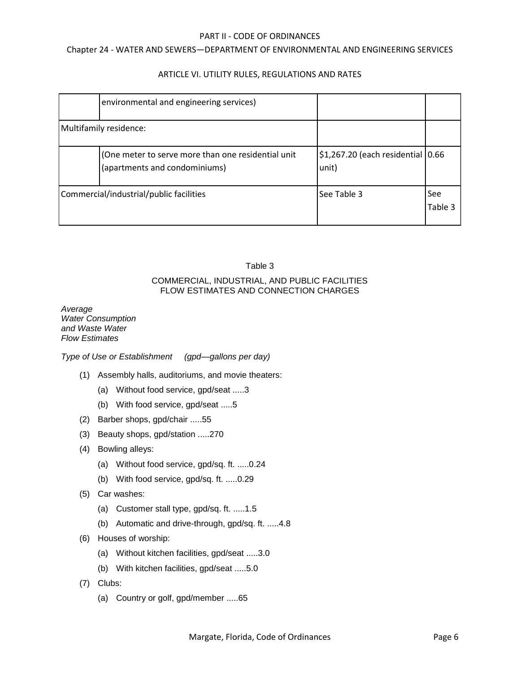# Chapter 24 - WATER AND SEWERS—DEPARTMENT OF ENVIRONMENTAL AND ENGINEERING SERVICES

# ARTICLE VI. UTILITY RULES, REGULATIONS AND RATES

|                        | environmental and engineering services)                                             |                                            |                       |
|------------------------|-------------------------------------------------------------------------------------|--------------------------------------------|-----------------------|
| Multifamily residence: |                                                                                     |                                            |                       |
|                        | (One meter to serve more than one residential unit<br>(apartments and condominiums) | \$1,267.20 (each residential 0.66<br>unit) |                       |
|                        | Commercial/industrial/public facilities                                             | See Table 3                                | <b>See</b><br>Table 3 |

# Table 3

# COMMERCIAL, INDUSTRIAL, AND PUBLIC FACILITIES FLOW ESTIMATES AND CONNECTION CHARGES

*Average Water Consumption and Waste Water Flow Estimates*

*Type of Use or Establishment (gpd—gallons per day)*

- (1) Assembly halls, auditoriums, and movie theaters:
	- (a) Without food service, gpd/seat .....3
	- (b) With food service, gpd/seat .....5
- (2) Barber shops, gpd/chair .....55
- (3) Beauty shops, gpd/station .....270
- (4) Bowling alleys:
	- (a) Without food service, gpd/sq. ft. .....0.24
	- (b) With food service, gpd/sq. ft. .....0.29
- (5) Car washes:
	- (a) Customer stall type, gpd/sq. ft. .....1.5
	- (b) Automatic and drive-through, gpd/sq. ft. .....4.8
- (6) Houses of worship:
	- (a) Without kitchen facilities, gpd/seat .....3.0
	- (b) With kitchen facilities, gpd/seat .....5.0
- (7) Clubs:
	- (a) Country or golf, gpd/member .....65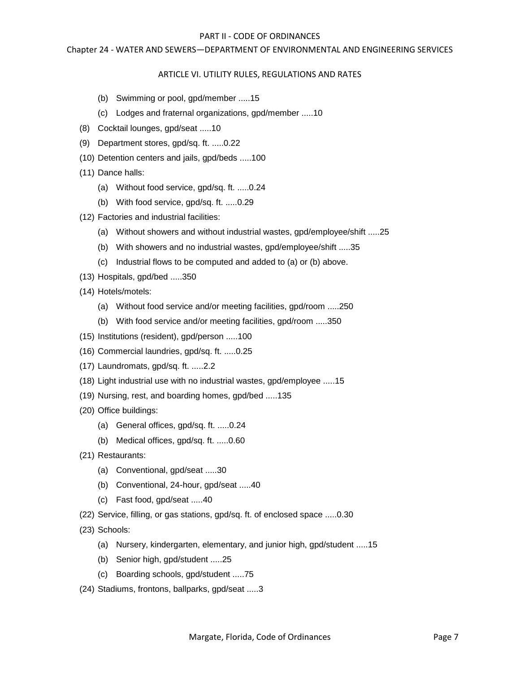# Chapter 24 - WATER AND SEWERS—DEPARTMENT OF ENVIRONMENTAL AND ENGINEERING SERVICES

# ARTICLE VI. UTILITY RULES, REGULATIONS AND RATES

- (b) Swimming or pool, gpd/member .....15
- (c) Lodges and fraternal organizations, gpd/member .....10
- (8) Cocktail lounges, gpd/seat .....10
- (9) Department stores, gpd/sq. ft. .....0.22
- (10) Detention centers and jails, gpd/beds .....100
- (11) Dance halls:
	- (a) Without food service, gpd/sq. ft. .....0.24
	- (b) With food service, gpd/sq. ft. .....0.29
- (12) Factories and industrial facilities:
	- (a) Without showers and without industrial wastes, gpd/employee/shift .....25
	- (b) With showers and no industrial wastes, gpd/employee/shift .....35
	- (c) Industrial flows to be computed and added to (a) or (b) above.
- (13) Hospitals, gpd/bed .....350
- (14) Hotels/motels:
	- (a) Without food service and/or meeting facilities, gpd/room .....250
	- (b) With food service and/or meeting facilities, gpd/room .....350
- (15) Institutions (resident), gpd/person .....100
- (16) Commercial laundries, gpd/sq. ft. .....0.25
- (17) Laundromats, gpd/sq. ft. .....2.2
- (18) Light industrial use with no industrial wastes, gpd/employee .....15
- (19) Nursing, rest, and boarding homes, gpd/bed .....135
- (20) Office buildings:
	- (a) General offices, gpd/sq. ft. .....0.24
	- (b) Medical offices, gpd/sq. ft. .....0.60
- (21) Restaurants:
	- (a) Conventional, gpd/seat .....30
	- (b) Conventional, 24-hour, gpd/seat .....40
	- (c) Fast food, gpd/seat .....40
- (22) Service, filling, or gas stations, gpd/sq. ft. of enclosed space .....0.30
- (23) Schools:
	- (a) Nursery, kindergarten, elementary, and junior high, gpd/student .....15
	- (b) Senior high, gpd/student .....25
	- (c) Boarding schools, gpd/student .....75
- (24) Stadiums, frontons, ballparks, gpd/seat .....3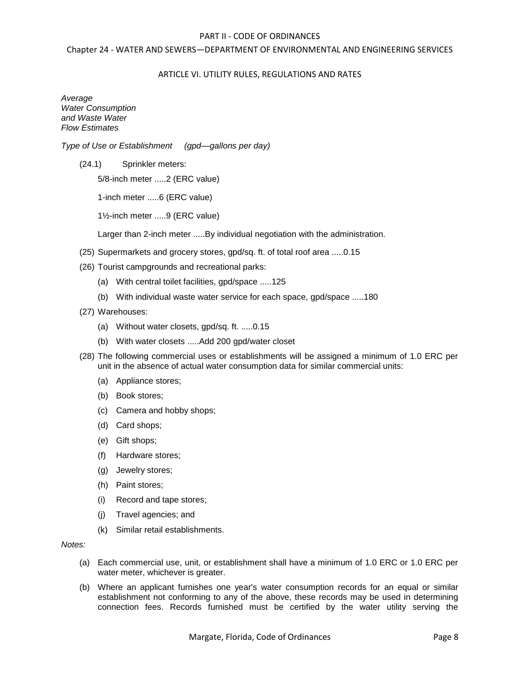## Chapter 24 - WATER AND SEWERS—DEPARTMENT OF ENVIRONMENTAL AND ENGINEERING SERVICES

## ARTICLE VI. UTILITY RULES, REGULATIONS AND RATES

*Average Water Consumption and Waste Water Flow Estimates*

*Type of Use or Establishment (gpd—gallons per day)*

(24.1) Sprinkler meters:

5/8-inch meter .....2 (ERC value)

1-inch meter .....6 (ERC value)

1½-inch meter .....9 (ERC value)

Larger than 2-inch meter .....By individual negotiation with the administration.

- (25) Supermarkets and grocery stores, gpd/sq. ft. of total roof area .....0.15
- (26) Tourist campgrounds and recreational parks:
	- (a) With central toilet facilities, gpd/space .....125
	- (b) With individual waste water service for each space, gpd/space .....180
- (27) Warehouses:
	- (a) Without water closets, gpd/sq. ft. .....0.15
	- (b) With water closets .....Add 200 gpd/water closet
- (28) The following commercial uses or establishments will be assigned a minimum of 1.0 ERC per unit in the absence of actual water consumption data for similar commercial units:
	- (a) Appliance stores;
	- (b) Book stores;
	- (c) Camera and hobby shops;
	- (d) Card shops;
	- (e) Gift shops;
	- (f) Hardware stores;
	- (g) Jewelry stores;
	- (h) Paint stores;
	- (i) Record and tape stores;
	- (j) Travel agencies; and
	- (k) Similar retail establishments.

*Notes:*

- (a) Each commercial use, unit, or establishment shall have a minimum of 1.0 ERC or 1.0 ERC per water meter, whichever is greater.
- (b) Where an applicant furnishes one year's water consumption records for an equal or similar establishment not conforming to any of the above, these records may be used in determining connection fees. Records furnished must be certified by the water utility serving the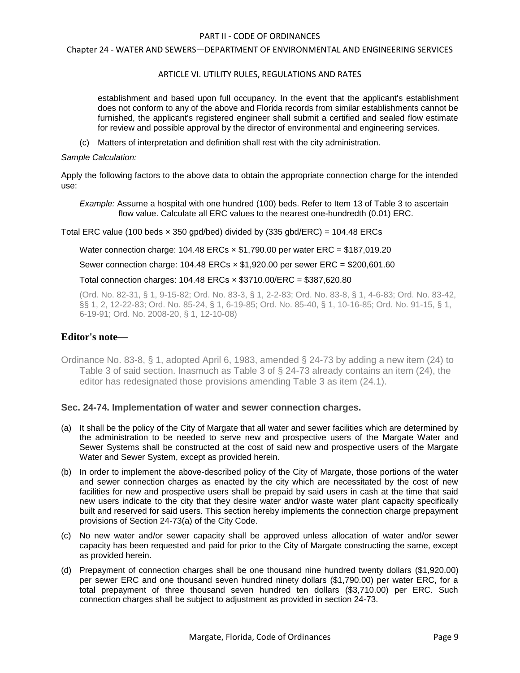## Chapter 24 - WATER AND SEWERS—DEPARTMENT OF ENVIRONMENTAL AND ENGINEERING SERVICES

## ARTICLE VI. UTILITY RULES, REGULATIONS AND RATES

establishment and based upon full occupancy. In the event that the applicant's establishment does not conform to any of the above and Florida records from similar establishments cannot be furnished, the applicant's registered engineer shall submit a certified and sealed flow estimate for review and possible approval by the director of environmental and engineering services.

(c) Matters of interpretation and definition shall rest with the city administration.

#### *Sample Calculation:*

Apply the following factors to the above data to obtain the appropriate connection charge for the intended use:

*Example:* Assume a hospital with one hundred (100) beds. Refer to Item 13 of Table 3 to ascertain flow value. Calculate all ERC values to the nearest one-hundredth (0.01) ERC.

Total ERC value (100 beds  $\times$  350 gpd/bed) divided by (335 gbd/ERC) = 104.48 ERCs

Water connection charge: 104.48 ERCs × \$1,790.00 per water ERC = \$187,019.20

Sewer connection charge:  $104.48$  ERCs  $\times$  \$1,920.00 per sewer ERC = \$200,601.60

# Total connection charges: 104.48 ERCs × \$3710.00/ERC = \$387,620.80

(Ord. No. 82-31, § 1, 9-15-82; Ord. No. 83-3, § 1, 2-2-83; Ord. No. 83-8, § 1, 4-6-83; Ord. No. 83-42, §§ 1, 2, 12-22-83; Ord. No. 85-24, § 1, 6-19-85; Ord. No. 85-40, § 1, 10-16-85; Ord. No. 91-15, § 1, 6-19-91; Ord. No. 2008-20, § 1, 12-10-08)

# **Editor's note—**

Ordinance No. 83-8, § 1, adopted April 6, 1983, amended § 24-73 by adding a new item (24) to Table 3 of said section. Inasmuch as Table 3 of § 24-73 already contains an item (24), the editor has redesignated those provisions amending Table 3 as item (24.1).

# **Sec. 24-74. Implementation of water and sewer connection charges.**

- (a) It shall be the policy of the City of Margate that all water and sewer facilities which are determined by the administration to be needed to serve new and prospective users of the Margate Water and Sewer Systems shall be constructed at the cost of said new and prospective users of the Margate Water and Sewer System, except as provided herein.
- (b) In order to implement the above-described policy of the City of Margate, those portions of the water and sewer connection charges as enacted by the city which are necessitated by the cost of new facilities for new and prospective users shall be prepaid by said users in cash at the time that said new users indicate to the city that they desire water and/or waste water plant capacity specifically built and reserved for said users. This section hereby implements the connection charge prepayment provisions of Section 24-73(a) of the City Code.
- (c) No new water and/or sewer capacity shall be approved unless allocation of water and/or sewer capacity has been requested and paid for prior to the City of Margate constructing the same, except as provided herein.
- (d) Prepayment of connection charges shall be one thousand nine hundred twenty dollars (\$1,920.00) per sewer ERC and one thousand seven hundred ninety dollars (\$1,790.00) per water ERC, for a total prepayment of three thousand seven hundred ten dollars (\$3,710.00) per ERC. Such connection charges shall be subject to adjustment as provided in section 24-73.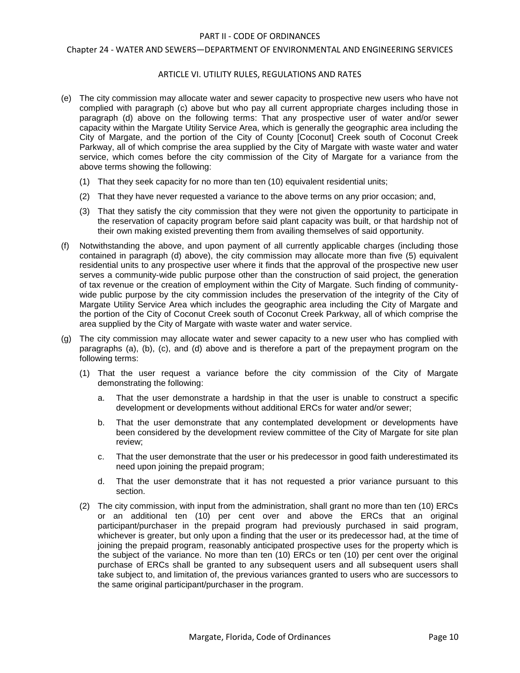## Chapter 24 - WATER AND SEWERS—DEPARTMENT OF ENVIRONMENTAL AND ENGINEERING SERVICES

## ARTICLE VI. UTILITY RULES, REGULATIONS AND RATES

- (e) The city commission may allocate water and sewer capacity to prospective new users who have not complied with paragraph (c) above but who pay all current appropriate charges including those in paragraph (d) above on the following terms: That any prospective user of water and/or sewer capacity within the Margate Utility Service Area, which is generally the geographic area including the City of Margate, and the portion of the City of County [Coconut] Creek south of Coconut Creek Parkway, all of which comprise the area supplied by the City of Margate with waste water and water service, which comes before the city commission of the City of Margate for a variance from the above terms showing the following:
	- (1) That they seek capacity for no more than ten (10) equivalent residential units;
	- (2) That they have never requested a variance to the above terms on any prior occasion; and,
	- (3) That they satisfy the city commission that they were not given the opportunity to participate in the reservation of capacity program before said plant capacity was built, or that hardship not of their own making existed preventing them from availing themselves of said opportunity.
- (f) Notwithstanding the above, and upon payment of all currently applicable charges (including those contained in paragraph (d) above), the city commission may allocate more than five (5) equivalent residential units to any prospective user where it finds that the approval of the prospective new user serves a community-wide public purpose other than the construction of said project, the generation of tax revenue or the creation of employment within the City of Margate. Such finding of communitywide public purpose by the city commission includes the preservation of the integrity of the City of Margate Utility Service Area which includes the geographic area including the City of Margate and the portion of the City of Coconut Creek south of Coconut Creek Parkway, all of which comprise the area supplied by the City of Margate with waste water and water service.
- (g) The city commission may allocate water and sewer capacity to a new user who has complied with paragraphs (a), (b), (c), and (d) above and is therefore a part of the prepayment program on the following terms:
	- (1) That the user request a variance before the city commission of the City of Margate demonstrating the following:
		- a. That the user demonstrate a hardship in that the user is unable to construct a specific development or developments without additional ERCs for water and/or sewer;
		- b. That the user demonstrate that any contemplated development or developments have been considered by the development review committee of the City of Margate for site plan review;
		- c. That the user demonstrate that the user or his predecessor in good faith underestimated its need upon joining the prepaid program;
		- d. That the user demonstrate that it has not requested a prior variance pursuant to this section.
	- (2) The city commission, with input from the administration, shall grant no more than ten (10) ERCs or an additional ten (10) per cent over and above the ERCs that an original participant/purchaser in the prepaid program had previously purchased in said program, whichever is greater, but only upon a finding that the user or its predecessor had, at the time of joining the prepaid program, reasonably anticipated prospective uses for the property which is the subject of the variance. No more than ten (10) ERCs or ten (10) per cent over the original purchase of ERCs shall be granted to any subsequent users and all subsequent users shall take subject to, and limitation of, the previous variances granted to users who are successors to the same original participant/purchaser in the program.